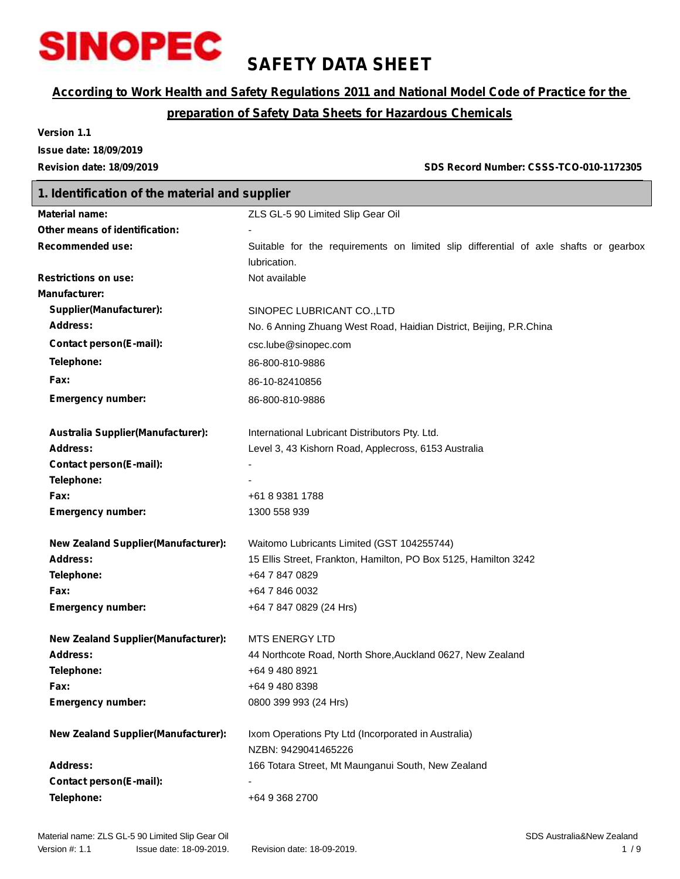

# **SAFETY DATA SHEET**

# *According to Work Health and Safety Regulations 2011 and National Model Code of Practice for the*

# *preparation of Safety Data Sheets for Hazardous Chemicals*

**Version 1.1 Issue date: 18/09/2019**

**Revision date: 18/09/2019 SDS Record Number: CSSS-TCO-010-1172305**

# **1. Identification of the material and supplier Material name:** ZLS GL-5 90 Limited Slip Gear Oil **Other means of identification:** - **Recommended use:** Suitable for the requirements on limited slip differential of axle shafts or gearbox lubrication. **Restrictions on use:** Not available **Manufacturer: Supplier(Manufacturer):** SINOPEC LUBRICANT CO.,LTD Address: Mo. 6 Anning Zhuang West Road, Haidian District, Beijing, P.R.China **Contact person(E-mail):** csc.lube@sinopec.com **Telephone:** 86-800-810-9886 **Fax:** 86-10-82410856 **Emergency number:** 86-800-810-9886 **Australia Supplier(Manufacturer):** International Lubricant Distributors Pty. Ltd. **Address:** Level 3, 43 Kishorn Road, Applecross, 6153 Australia **Contact person(E-mail):** - **Telephone: Fax:** +61 8 9381 1788 **Emergency number:** 1300 558 939 **New Zealand Supplier(Manufacturer):** Waitomo Lubricants Limited (GST 104255744) **Address:** 15 Ellis Street, Frankton, Hamilton, PO Box 5125, Hamilton 3242 **Telephone:** +64 7 847 0829 **Fax:** +64 7 846 0032 **Emergency number:** +64 7 847 0829 (24 Hrs) **New Zealand Supplier(Manufacturer):** MTS ENERGY LTD **Address:** 44 Northcote Road, North Shore,Auckland 0627, New Zealand **Telephone:** +64 9 480 8921 **Fax:** +64 9 480 8398 **Emergency number:** 0800 399 993 (24 Hrs) **New Zealand Supplier(Manufacturer):** Ixom Operations Pty Ltd (Incorporated in Australia) NZBN: 9429041465226 **Address:** 166 Totara Street, Mt Maunganui South, New Zealand **Contact person(E-mail):** - **Telephone:** +64 9 368 2700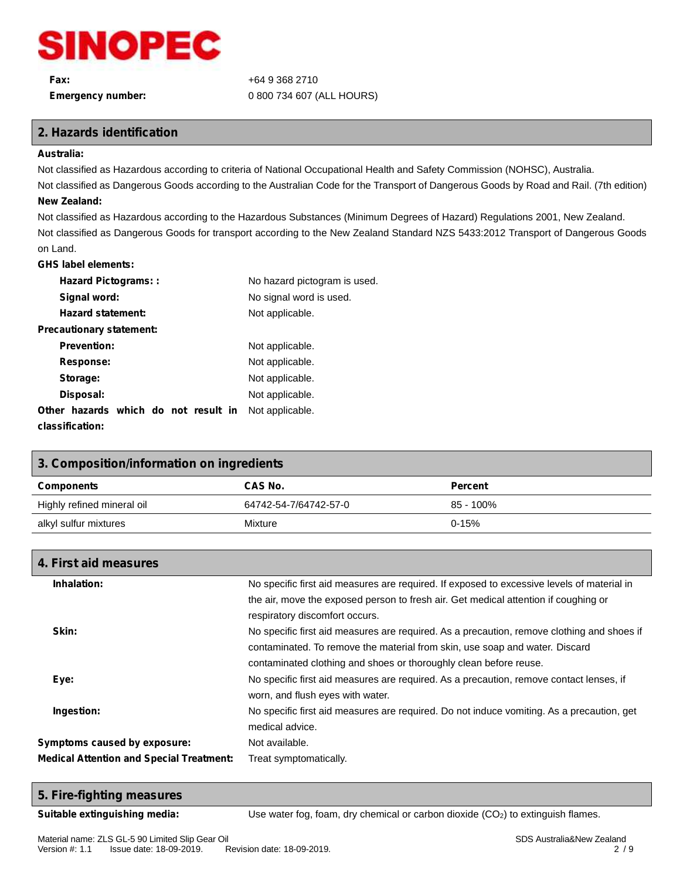

# **Fax:** +64 9 368 2710 **Emergency number:** 0 800 734 607 (ALL HOURS)

# **2. Hazards identification**

#### **Australia:**

Not classified as Hazardous according to criteria of National Occupational Health and Safety Commission (NOHSC), Australia.

Not classified as Dangerous Goods according to the Australian Code for the Transport of Dangerous Goods by Road and Rail. (7th edition) **New Zealand:**

Not classified as Hazardous according to the Hazardous Substances (Minimum Degrees of Hazard) Regulations 2001, New Zealand. Not classified as Dangerous Goods for transport according to the New Zealand Standard NZS 5433:2012 Transport of Dangerous Goods on Land.

### **GHS label elements:**

| <b>Hazard Pictograms::</b>           | No hazard pictogram is used. |
|--------------------------------------|------------------------------|
| Signal word:                         | No signal word is used.      |
| <b>Hazard statement:</b>             | Not applicable.              |
| <b>Precautionary statement:</b>      |                              |
| <b>Prevention:</b>                   | Not applicable.              |
| Response:                            | Not applicable.              |
| Storage:                             | Not applicable.              |
| Disposal:                            | Not applicable.              |
| Other hazards which do not result in | Not applicable.              |
| classification:                      |                              |

# **3. Composition/information on ingredients Components CAS No. Percent** Highly refined mineral oil 64742-54-7/64742-57-0 85 - 100% alkyl sulfur mixtures and the Mixture Mixture control of the 0-15% of the 0-15% of the 0-15% of the 0-15% of the  $\sim$

| 4. First aid measures                           |                                                                                                                                                                                                                                                |
|-------------------------------------------------|------------------------------------------------------------------------------------------------------------------------------------------------------------------------------------------------------------------------------------------------|
| Inhalation:                                     | No specific first aid measures are required. If exposed to excessive levels of material in                                                                                                                                                     |
|                                                 | the air, move the exposed person to fresh air. Get medical attention if coughing or<br>respiratory discomfort occurs.                                                                                                                          |
| Skin:                                           | No specific first aid measures are required. As a precaution, remove clothing and shoes if<br>contaminated. To remove the material from skin, use soap and water. Discard<br>contaminated clothing and shoes or thoroughly clean before reuse. |
| Eye:                                            | No specific first aid measures are required. As a precaution, remove contact lenses, if<br>worn, and flush eyes with water.                                                                                                                    |
| Ingestion:                                      | No specific first aid measures are required. Do not induce vomiting. As a precaution, get<br>medical advice.                                                                                                                                   |
| Symptoms caused by exposure:                    | Not available.                                                                                                                                                                                                                                 |
| <b>Medical Attention and Special Treatment:</b> | Treat symptomatically.                                                                                                                                                                                                                         |

# **5. Fire-fighting measures**

**Suitable extinguishing media:** Use water fog, foam, dry chemical or carbon dioxide (CO<sub>2</sub>) to extinguish flames.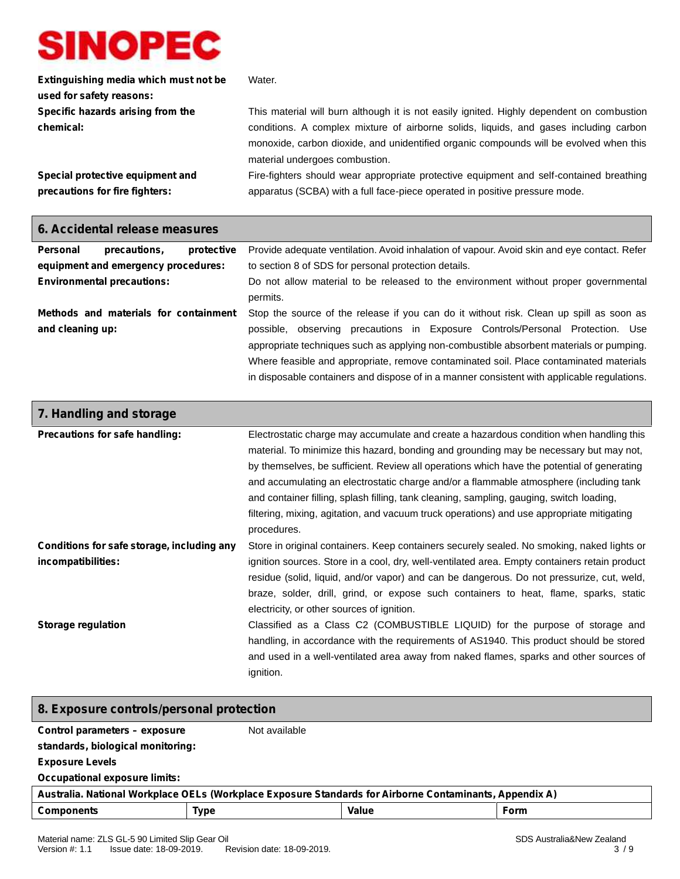Г

| Extinguishing media which must not be | Water.                                                                                    |
|---------------------------------------|-------------------------------------------------------------------------------------------|
| used for safety reasons:              |                                                                                           |
| Specific hazards arising from the     | This material will burn although it is not easily ignited. Highly dependent on combustion |
| chemical:                             | conditions. A complex mixture of airborne solids, liquids, and gases including carbon     |
|                                       | monoxide, carbon dioxide, and unidentified organic compounds will be evolved when this    |
|                                       | material undergoes combustion.                                                            |
| Special protective equipment and      | Fire-fighters should wear appropriate protective equipment and self-contained breathing   |
| precautions for fire fighters:        | apparatus (SCBA) with a full face-piece operated in positive pressure mode.               |

| 6. Accidental release measures                            |                                                                                                                                                                                                                                                                                                                                                                                                                                                              |  |  |
|-----------------------------------------------------------|--------------------------------------------------------------------------------------------------------------------------------------------------------------------------------------------------------------------------------------------------------------------------------------------------------------------------------------------------------------------------------------------------------------------------------------------------------------|--|--|
| <b>Personal</b><br>precautions,<br>protective             | Provide adequate ventilation. Avoid inhalation of vapour. Avoid skin and eye contact. Refer                                                                                                                                                                                                                                                                                                                                                                  |  |  |
| equipment and emergency procedures:                       | to section 8 of SDS for personal protection details.                                                                                                                                                                                                                                                                                                                                                                                                         |  |  |
| <b>Environmental precautions:</b>                         | Do not allow material to be released to the environment without proper governmental<br>permits.                                                                                                                                                                                                                                                                                                                                                              |  |  |
| Methods and materials for containment<br>and cleaning up: | Stop the source of the release if you can do it without risk. Clean up spill as soon as<br>possible, observing precautions in Exposure Controls/Personal Protection. Use<br>appropriate techniques such as applying non-combustible absorbent materials or pumping.<br>Where feasible and appropriate, remove contaminated soil. Place contaminated materials<br>in disposable containers and dispose of in a manner consistent with applicable regulations. |  |  |

| 7. Handling and storage                    |                                                                                                          |
|--------------------------------------------|----------------------------------------------------------------------------------------------------------|
| Precautions for safe handling:             | Electrostatic charge may accumulate and create a hazardous condition when handling this                  |
|                                            | material. To minimize this hazard, bonding and grounding may be necessary but may not,                   |
|                                            | by themselves, be sufficient. Review all operations which have the potential of generating               |
|                                            | and accumulating an electrostatic charge and/or a flammable atmosphere (including tank                   |
|                                            | and container filling, splash filling, tank cleaning, sampling, gauging, switch loading,                 |
|                                            | filtering, mixing, agitation, and vacuum truck operations) and use appropriate mitigating<br>procedures. |
| Conditions for safe storage, including any | Store in original containers. Keep containers securely sealed. No smoking, naked lights or               |
| incompatibilities:                         | ignition sources. Store in a cool, dry, well-ventilated area. Empty containers retain product            |
|                                            | residue (solid, liquid, and/or vapor) and can be dangerous. Do not pressurize, cut, weld,                |
|                                            | braze, solder, drill, grind, or expose such containers to heat, flame, sparks, static                    |
|                                            | electricity, or other sources of ignition.                                                               |
| Storage regulation                         | Classified as a Class C2 (COMBUSTIBLE LIQUID) for the purpose of storage and                             |
|                                            | handling, in accordance with the requirements of AS1940. This product should be stored                   |
|                                            | and used in a well-ventilated area away from naked flames, sparks and other sources of<br>ignition.      |

| 8. Exposure controls/personal protection                                                                |               |       |             |
|---------------------------------------------------------------------------------------------------------|---------------|-------|-------------|
| Control parameters - exposure                                                                           | Not available |       |             |
| standards, biological monitoring:                                                                       |               |       |             |
| <b>Exposure Levels</b>                                                                                  |               |       |             |
| Occupational exposure limits:                                                                           |               |       |             |
| Australia. National Workplace OELs (Workplace Exposure Standards for Airborne Contaminants, Appendix A) |               |       |             |
| <b>Components</b>                                                                                       | <b>Type</b>   | Value | <b>Form</b> |
|                                                                                                         |               |       |             |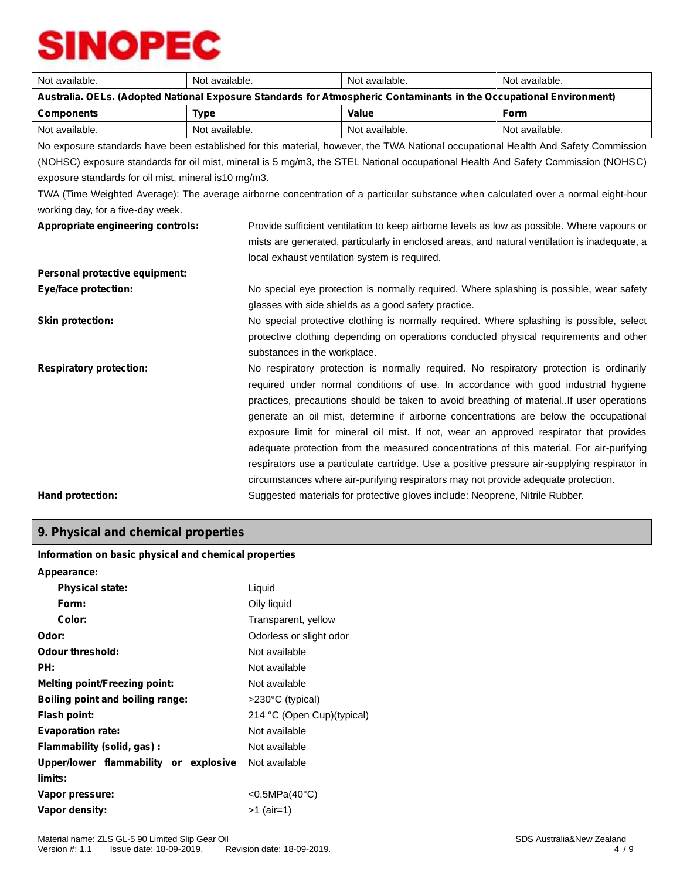| Not available.                                                                                                                   | Not available.                                                                                                                     | Not available.                                                                                                                     | Not available. |
|----------------------------------------------------------------------------------------------------------------------------------|------------------------------------------------------------------------------------------------------------------------------------|------------------------------------------------------------------------------------------------------------------------------------|----------------|
| Australia. OELs. (Adopted National Exposure Standards for Atmospheric Contaminants in the Occupational Environment)              |                                                                                                                                    |                                                                                                                                    |                |
| <b>Components</b>                                                                                                                | <b>Type</b>                                                                                                                        | Value                                                                                                                              | <b>Form</b>    |
| Not available.                                                                                                                   | Not available.                                                                                                                     | Not available.                                                                                                                     | Not available. |
|                                                                                                                                  | No exposure standards have been established for this material, however, the TWA National occupational Health And Safety Commission |                                                                                                                                    |                |
|                                                                                                                                  |                                                                                                                                    | (NOHSC) exposure standards for oil mist, mineral is 5 mg/m3, the STEL National occupational Health And Safety Commission (NOHSC)   |                |
| exposure standards for oil mist, mineral is 10 mg/m3.                                                                            |                                                                                                                                    |                                                                                                                                    |                |
|                                                                                                                                  |                                                                                                                                    | TWA (Time Weighted Average): The average airborne concentration of a particular substance when calculated over a normal eight-hour |                |
| working day, for a five-day week.                                                                                                |                                                                                                                                    |                                                                                                                                    |                |
| Appropriate engineering controls:<br>Provide sufficient ventilation to keep airborne levels as low as possible. Where vapours or |                                                                                                                                    |                                                                                                                                    |                |
|                                                                                                                                  |                                                                                                                                    | mists are generated, particularly in enclosed areas, and natural ventilation is inadequate, a                                      |                |
| local exhaust ventilation system is required.                                                                                    |                                                                                                                                    |                                                                                                                                    |                |
| Personal protective equipment:                                                                                                   |                                                                                                                                    |                                                                                                                                    |                |
| <b>Eye/face protection:</b>                                                                                                      |                                                                                                                                    | No special eye protection is normally required. Where splashing is possible, wear safety                                           |                |
|                                                                                                                                  | glasses with side shields as a good safety practice.                                                                               |                                                                                                                                    |                |
| <b>Skin protection:</b>                                                                                                          |                                                                                                                                    | No special protective clothing is normally required. Where splashing is possible, select                                           |                |
|                                                                                                                                  |                                                                                                                                    | protective clothing depending on operations conducted physical requirements and other                                              |                |
|                                                                                                                                  | substances in the workplace.                                                                                                       |                                                                                                                                    |                |
| <b>Respiratory protection:</b>                                                                                                   |                                                                                                                                    | No respiratory protection is normally required. No respiratory protection is ordinarily                                            |                |
|                                                                                                                                  |                                                                                                                                    | required under normal conditions of use. In accordance with good industrial hygiene                                                |                |
|                                                                                                                                  |                                                                                                                                    | practices, precautions should be taken to avoid breathing of materialIf user operations                                            |                |
|                                                                                                                                  |                                                                                                                                    | generate an oil mist, determine if airborne concentrations are below the occupational                                              |                |
|                                                                                                                                  |                                                                                                                                    | exposure limit for mineral oil mist. If not, wear an approved respirator that provides                                             |                |
|                                                                                                                                  |                                                                                                                                    | adequate protection from the measured concentrations of this material. For air-purifying                                           |                |
|                                                                                                                                  |                                                                                                                                    | respirators use a particulate cartridge. Use a positive pressure air-supplying respirator in                                       |                |
|                                                                                                                                  |                                                                                                                                    | circumstances where air-purifying respirators may not provide adequate protection.                                                 |                |
| Hand protection:                                                                                                                 | Suggested materials for protective gloves include: Neoprene, Nitrile Rubber.                                                       |                                                                                                                                    |                |
|                                                                                                                                  |                                                                                                                                    |                                                                                                                                    |                |

# **9. Physical and chemical properties**

## **Information on basic physical and chemical properties**

| Appearance:                             |                            |
|-----------------------------------------|----------------------------|
| <b>Physical state:</b>                  | Liquid                     |
| Form:                                   | Oily liquid                |
| Color:                                  | Transparent, yellow        |
| Odor:                                   | Odorless or slight odor    |
| Odour threshold:                        | Not available              |
| PH:                                     | Not available              |
| <b>Melting point/Freezing point:</b>    | Not available              |
| <b>Boiling point and boiling range:</b> | >230°C (typical)           |
| Flash point:                            | 214 °C (Open Cup)(typical) |
| <b>Evaporation rate:</b>                | Not available              |
| Flammability (solid, gas):              | Not available              |
| Upper/lower flammability or explosive   | Not available              |
| limits:                                 |                            |
| Vapor pressure:                         | < $0.5MPa(40^{\circ}C)$    |
| Vapor density:                          | >1 (air=1)                 |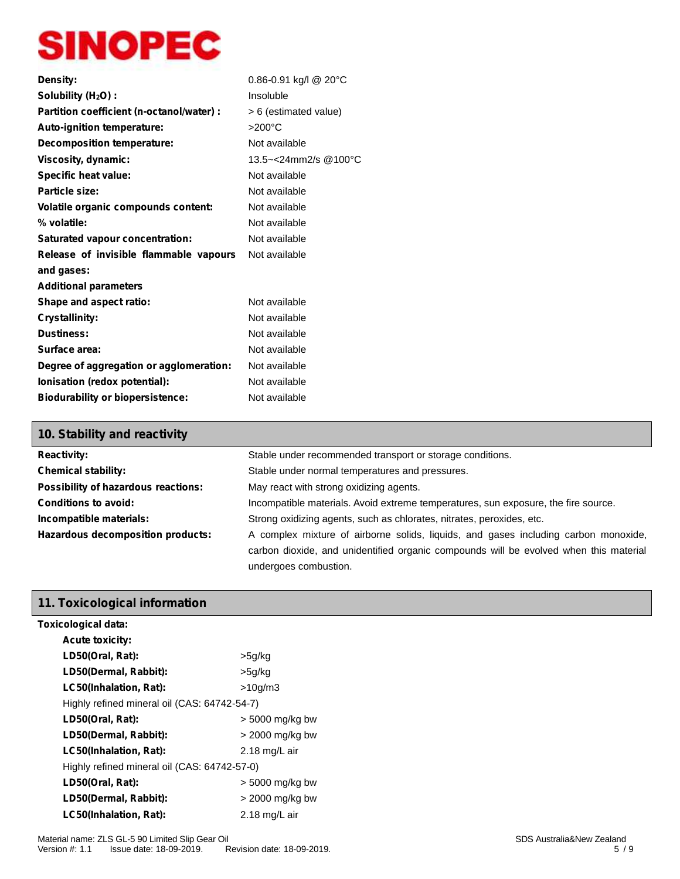| Density:                                  | $0.86 - 0.91$ kg/l @ 20°C |
|-------------------------------------------|---------------------------|
| Solubility (H <sub>2</sub> O) :           | Insoluble                 |
| Partition coefficient (n-octanol/water) : | > 6 (estimated value)     |
| Auto-ignition temperature:                | $>200^{\circ}$ C          |
| Decomposition temperature:                | Not available             |
| Viscosity, dynamic:                       | 13.5~<24mm2/s @100°C      |
| Specific heat value:                      | Not available             |
| Particle size:                            | Not available             |
| Volatile organic compounds content:       | Not available             |
| % volatile:                               | Not available             |
| Saturated vapour concentration:           | Not available             |
| Release of invisible flammable vapours    | Not available             |
| and gases:                                |                           |
| <b>Additional parameters</b>              |                           |
| Shape and aspect ratio:                   | Not available             |
| <b>Crystallinity:</b>                     | Not available             |
| <b>Dustiness:</b>                         | Not available             |
| Surface area:                             | Not available             |
| Degree of aggregation or agglomeration:   | Not available             |
| Ionisation (redox potential):             | Not available             |
| <b>Biodurability or biopersistence:</b>   | Not available             |

| 10. Stability and reactivity        |                                                                                       |
|-------------------------------------|---------------------------------------------------------------------------------------|
| <b>Reactivity:</b>                  | Stable under recommended transport or storage conditions.                             |
| <b>Chemical stability:</b>          | Stable under normal temperatures and pressures.                                       |
| Possibility of hazardous reactions: | May react with strong oxidizing agents.                                               |
| <b>Conditions to avoid:</b>         | Incompatible materials. Avoid extreme temperatures, sun exposure, the fire source.    |
| Incompatible materials:             | Strong oxidizing agents, such as chlorates, nitrates, peroxides, etc.                 |
| Hazardous decomposition products:   | A complex mixture of airborne solids, liquids, and gases including carbon monoxide,   |
|                                     | carbon dioxide, and unidentified organic compounds will be evolved when this material |
|                                     | undergoes combustion.                                                                 |

# **11. Toxicological information**

| Toxicological data:                          |                   |
|----------------------------------------------|-------------------|
| <b>Acute toxicity:</b>                       |                   |
| LD50(Oral, Rat):                             | >5g/kg            |
| LD50(Dermal, Rabbit):                        | >5g/kg            |
| LC50(Inhalation, Rat):                       | >10q/m3           |
| Highly refined mineral oil (CAS: 64742-54-7) |                   |
| LD50(Oral, Rat):                             | $>$ 5000 mg/kg bw |
| LD50(Dermal, Rabbit):                        | > 2000 mg/kg bw   |
| LC50(Inhalation, Rat):                       | 2.18 mg/L air     |
| Highly refined mineral oil (CAS: 64742-57-0) |                   |
| LD50(Oral, Rat):                             | $>$ 5000 mg/kg bw |
| LD50(Dermal, Rabbit):                        | > 2000 mg/kg bw   |
| LC50(Inhalation, Rat):                       | 2.18 mg/L air     |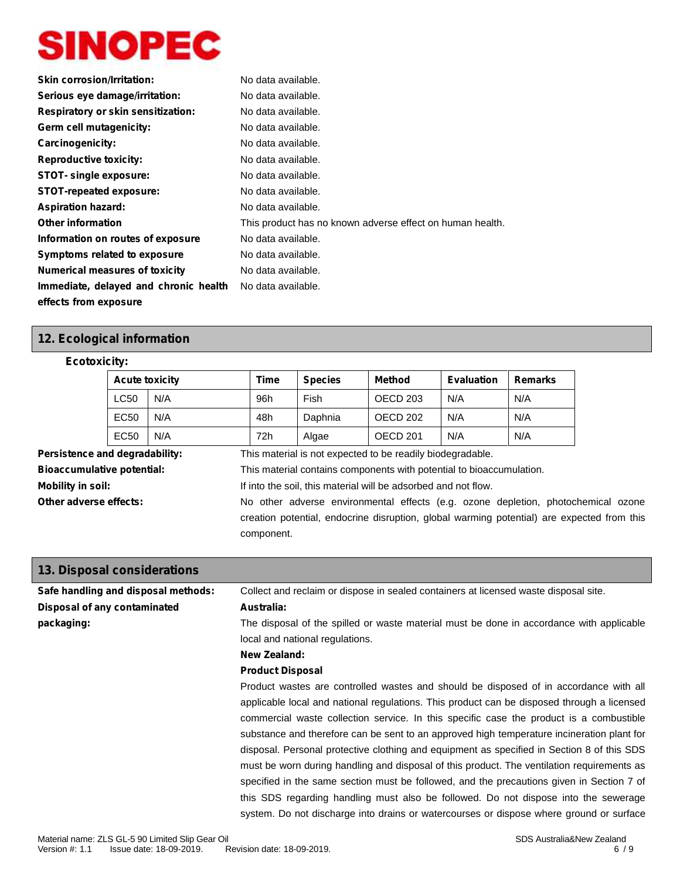| <b>Skin corrosion/Irritation:</b>     | No data available.                                        |
|---------------------------------------|-----------------------------------------------------------|
| Serious eye damage/irritation:        | No data available.                                        |
| Respiratory or skin sensitization:    | No data available.                                        |
| Germ cell mutagenicity:               | No data available.                                        |
| Carcinogenicity:                      | No data available.                                        |
| <b>Reproductive toxicity:</b>         | No data available.                                        |
| <b>STOT-</b> single exposure:         | No data available.                                        |
| <b>STOT-repeated exposure:</b>        | No data available.                                        |
| <b>Aspiration hazard:</b>             | No data available.                                        |
| <b>Other information</b>              | This product has no known adverse effect on human health. |
| Information on routes of exposure     | No data available.                                        |
| Symptoms related to exposure          | No data available.                                        |
| <b>Numerical measures of toxicity</b> | No data available.                                        |
| Immediate, delayed and chronic health | No data available.                                        |
| effects from exposure                 |                                                           |

# **12. Ecological information**

# **Ecotoxicity:**

|                                     | <b>Acute toxicity</b>                                                    |                                                                                      | Time                                                                                                                                                                                          | <b>Species</b>                                                 | <b>Method</b>                                              | <b>Evaluation</b> | <b>Remarks</b> |  |  |  |
|-------------------------------------|--------------------------------------------------------------------------|--------------------------------------------------------------------------------------|-----------------------------------------------------------------------------------------------------------------------------------------------------------------------------------------------|----------------------------------------------------------------|------------------------------------------------------------|-------------------|----------------|--|--|--|
|                                     | <b>LC50</b><br>N/A<br>EC <sub>50</sub><br>N/A<br>EC <sub>50</sub><br>N/A |                                                                                      | 96h                                                                                                                                                                                           | Fish                                                           | OECD 203                                                   | N/A               | N/A            |  |  |  |
|                                     |                                                                          |                                                                                      | 48h<br>72h                                                                                                                                                                                    | Daphnia<br>Algae                                               | OECD 202                                                   | N/A<br>N/A        | N/A<br>N/A     |  |  |  |
|                                     |                                                                          |                                                                                      |                                                                                                                                                                                               |                                                                | <b>OECD 201</b>                                            |                   |                |  |  |  |
| Persistence and degradability:      |                                                                          |                                                                                      |                                                                                                                                                                                               |                                                                | This material is not expected to be readily biodegradable. |                   |                |  |  |  |
|                                     | <b>Bioaccumulative potential:</b>                                        |                                                                                      | This material contains components with potential to bioaccumulation.                                                                                                                          |                                                                |                                                            |                   |                |  |  |  |
| <b>Mobility in soil:</b>            |                                                                          |                                                                                      |                                                                                                                                                                                               | If into the soil, this material will be adsorbed and not flow. |                                                            |                   |                |  |  |  |
| Other adverse effects:              |                                                                          |                                                                                      | No other adverse environmental effects (e.g. ozone depletion, photochemical ozone<br>creation potential, endocrine disruption, global warming potential) are expected from this<br>component. |                                                                |                                                            |                   |                |  |  |  |
| 13. Disposal considerations         |                                                                          |                                                                                      |                                                                                                                                                                                               |                                                                |                                                            |                   |                |  |  |  |
| Safe handling and disposal methods: |                                                                          | Collect and reclaim or dispose in sealed containers at licensed waste disposal site. |                                                                                                                                                                                               |                                                                |                                                            |                   |                |  |  |  |
| Disposal of any contaminated        |                                                                          | Australia:                                                                           |                                                                                                                                                                                               |                                                                |                                                            |                   |                |  |  |  |
| packaging:                          |                                                                          |                                                                                      | The disposal of the spilled or waste material must be done in accordance with applicable                                                                                                      |                                                                |                                                            |                   |                |  |  |  |

The disposal of the spilled or waste material must be done in accordance with applicable local and national regulations.

#### **New Zealand:**

### **Product Disposal**

Product wastes are controlled wastes and should be disposed of in accordance with all applicable local and national regulations. This product can be disposed through a licensed commercial waste collection service. In this specific case the product is a combustible substance and therefore can be sent to an approved high temperature incineration plant for disposal. Personal protective clothing and equipment as specified in Section 8 of this SDS must be worn during handling and disposal of this product. The ventilation requirements as specified in the same section must be followed, and the precautions given in Section 7 of this SDS regarding handling must also be followed. Do not dispose into the sewerage system. Do not discharge into drains or watercourses or dispose where ground or surface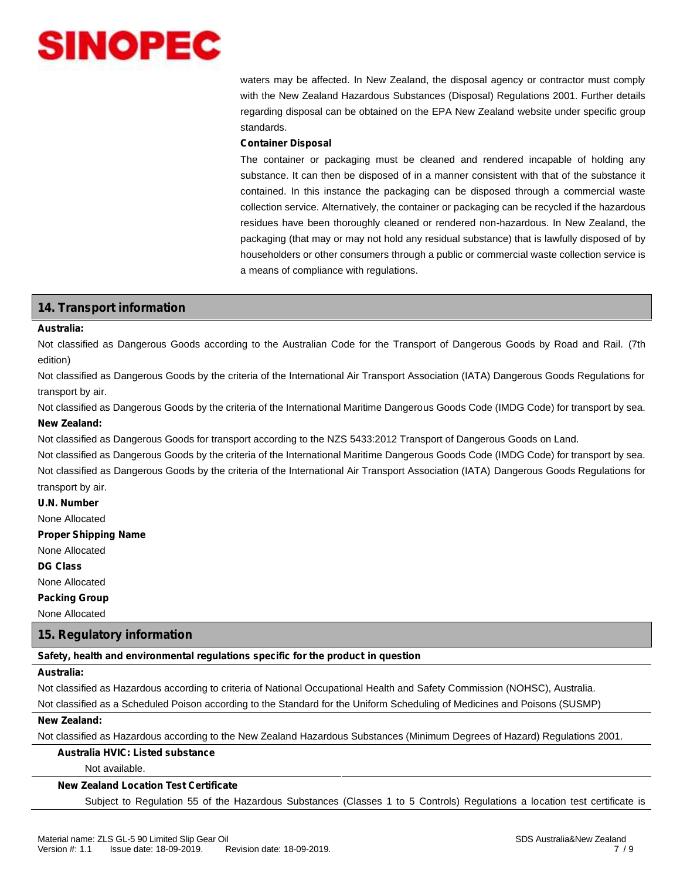waters may be affected. In New Zealand, the disposal agency or contractor must comply with the New Zealand Hazardous Substances (Disposal) Regulations 2001. Further details regarding disposal can be obtained on the EPA New Zealand website under specific group standards.

### **Container Disposal**

The container or packaging must be cleaned and rendered incapable of holding any substance. It can then be disposed of in a manner consistent with that of the substance it contained. In this instance the packaging can be disposed through a commercial waste collection service. Alternatively, the container or packaging can be recycled if the hazardous residues have been thoroughly cleaned or rendered non-hazardous. In New Zealand, the packaging (that may or may not hold any residual substance) that is lawfully disposed of by householders or other consumers through a public or commercial waste collection service is a means of compliance with regulations.

# **14. Transport information**

#### **Australia:**

Not classified as Dangerous Goods according to the Australian Code for the Transport of Dangerous Goods by Road and Rail. (7th edition)

Not classified as Dangerous Goods by the criteria of the International Air Transport Association (IATA) Dangerous Goods Regulations for transport by air.

Not classified as Dangerous Goods by the criteria of the International Maritime Dangerous Goods Code (IMDG Code) for transport by sea. **New Zealand:**

Not classified as Dangerous Goods for transport according to the NZS 5433:2012 Transport of Dangerous Goods on Land.

Not classified as Dangerous Goods by the criteria of the International Maritime Dangerous Goods Code (IMDG Code) for transport by sea. Not classified as Dangerous Goods by the criteria of the International Air Transport Association (IATA) Dangerous Goods Regulations for transport by air.

**U.N. Number**

None Allocated

**Proper Shipping Name**

None Allocated

**DG Class**

None Allocated

**Packing Group**

None Allocated

# **15. Regulatory information**

**Safety, health and environmental regulations specific for the product in question**

#### **Australia:**

Not classified as Hazardous according to criteria of National Occupational Health and Safety Commission (NOHSC), Australia.

Not classified as a Scheduled Poison according to the Standard for the Uniform Scheduling of Medicines and Poisons (SUSMP)

#### **New Zealand:**

Not classified as Hazardous according to the New Zealand Hazardous Substances (Minimum Degrees of Hazard) Regulations 2001.

# **Australia HVIC: Listed substance**

Not available.

### **New Zealand Location Test Certificate**

Subject to Regulation 55 of the Hazardous Substances (Classes 1 to 5 Controls) Regulations a location test certificate is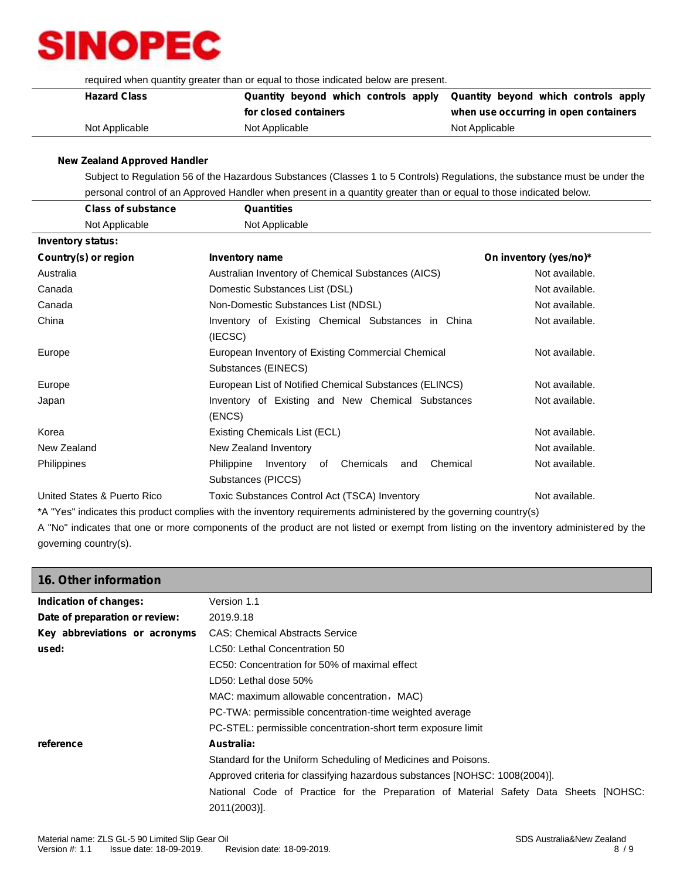required when quantity greater than or equal to those indicated below are present.

| <b>Hazard Class</b> |                       | Quantity beyond which controls apply Quantity beyond which controls apply |  |  |
|---------------------|-----------------------|---------------------------------------------------------------------------|--|--|
|                     | for closed containers | when use occurring in open containers                                     |  |  |
| Not Applicable      | Not Applicable        | Not Applicable                                                            |  |  |

### **New Zealand Approved Handler**

Subject to Regulation 56 of the Hazardous Substances (Classes 1 to 5 Controls) Regulations, the substance must be under the personal control of an Approved Handler when present in a quantity greater than or equal to those indicated below.

|                          | <b>Class of substance</b>   | <b>Quantities</b>                                             |                        |
|--------------------------|-----------------------------|---------------------------------------------------------------|------------------------|
|                          | Not Applicable              | Not Applicable                                                |                        |
| <b>Inventory status:</b> |                             |                                                               |                        |
| Country(s) or region     |                             | <b>Inventory name</b>                                         | On inventory (yes/no)* |
| Australia                |                             | Australian Inventory of Chemical Substances (AICS)            | Not available.         |
| Canada                   |                             | Domestic Substances List (DSL)                                | Not available.         |
| Canada                   |                             | Non-Domestic Substances List (NDSL)                           | Not available.         |
| China                    |                             | Inventory of Existing Chemical Substances in China            | Not available.         |
|                          |                             | (IECSC)                                                       |                        |
| Europe                   |                             | European Inventory of Existing Commercial Chemical            | Not available.         |
|                          |                             | Substances (EINECS)                                           |                        |
| Europe                   |                             | European List of Notified Chemical Substances (ELINCS)        | Not available.         |
| Japan                    |                             | Inventory of Existing and New Chemical Substances             | Not available.         |
|                          |                             | (ENCS)                                                        |                        |
| Korea                    |                             | Existing Chemicals List (ECL)                                 | Not available.         |
| New Zealand              |                             | New Zealand Inventory                                         | Not available.         |
| Philippines              |                             | Chemical<br>Chemicals<br>Philippine<br>Inventory<br>of<br>and | Not available.         |
|                          |                             | Substances (PICCS)                                            |                        |
|                          | United States & Puerto Rico | Toxic Substances Control Act (TSCA) Inventory                 | Not available.         |

\*A "Yes" indicates this product complies with the inventory requirements administered by the governing country(s)

A "No" indicates that one or more components of the product are not listed or exempt from listing on the inventory administered by the governing country(s).

| 16. Other information          |                                                                                      |
|--------------------------------|--------------------------------------------------------------------------------------|
| Indication of changes:         | Version 1.1                                                                          |
| Date of preparation or review: | 2019.9.18                                                                            |
| Key abbreviations or acronyms  | <b>CAS: Chemical Abstracts Service</b>                                               |
| used:                          | LC50: Lethal Concentration 50                                                        |
|                                | EC50: Concentration for 50% of maximal effect                                        |
|                                | LD50: Lethal dose 50%                                                                |
|                                | MAC: maximum allowable concentration, MAC)                                           |
|                                | PC-TWA: permissible concentration-time weighted average                              |
|                                | PC-STEL: permissible concentration-short term exposure limit                         |
| reference                      | Australia:                                                                           |
|                                | Standard for the Uniform Scheduling of Medicines and Poisons.                        |
|                                | Approved criteria for classifying hazardous substances [NOHSC: 1008(2004)].          |
|                                | National Code of Practice for the Preparation of Material Safety Data Sheets [NOHSC: |
|                                | 2011(2003)].                                                                         |
|                                |                                                                                      |